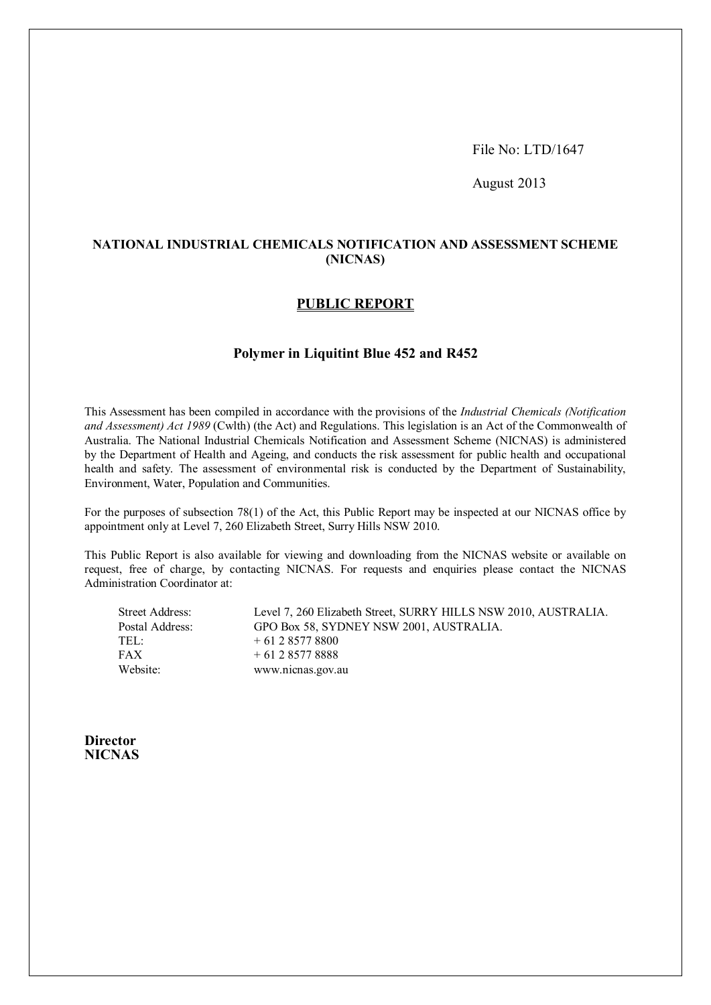File No: LTD/1647

August 2013

# **NATIONAL INDUSTRIAL CHEMICALS NOTIFICATION AND ASSESSMENT SCHEME (NICNAS)**

# **PUBLIC REPORT**

# **Polymer in Liquitint Blue 452 and R452**

This Assessment has been compiled in accordance with the provisions of the *Industrial Chemicals (Notification and Assessment) Act 1989* (Cwlth) (the Act) and Regulations. This legislation is an Act of the Commonwealth of Australia. The National Industrial Chemicals Notification and Assessment Scheme (NICNAS) is administered by the Department of Health and Ageing, and conducts the risk assessment for public health and occupational health and safety. The assessment of environmental risk is conducted by the Department of Sustainability, Environment, Water, Population and Communities.

For the purposes of subsection 78(1) of the Act, this Public Report may be inspected at our NICNAS office by appointment only at Level 7, 260 Elizabeth Street, Surry Hills NSW 2010.

This Public Report is also available for viewing and downloading from the NICNAS website or available on request, free of charge, by contacting NICNAS. For requests and enquiries please contact the NICNAS Administration Coordinator at:

Street Address: Level 7, 260 Elizabeth Street, SURRY HILLS NSW 2010, AUSTRALIA. Postal Address: GPO Box 58, SYDNEY NSW 2001, AUSTRALIA. TEL:  $+ 61285778800$ FAX  $+ 61 2 8577 8888$ Website: www.nicnas.gov.au

**Director NICNAS**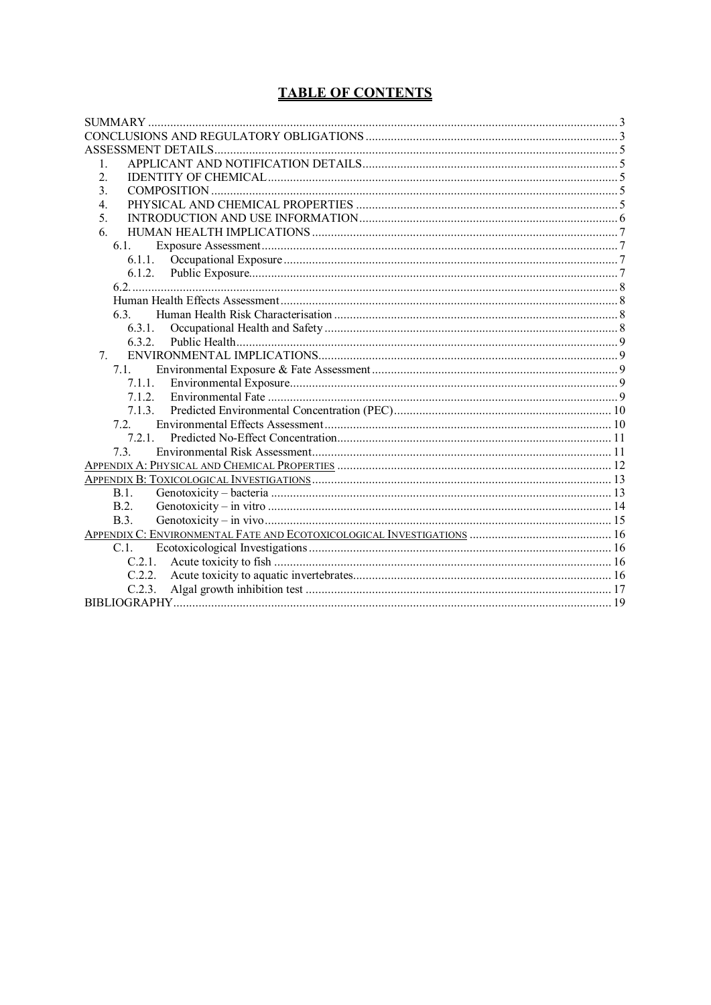# **TABLE OF CONTENTS**

| 1.          |  |
|-------------|--|
| 2.          |  |
| 3.          |  |
| 4.          |  |
| 5.          |  |
| 6.          |  |
| 6.1.        |  |
| 6.1.1.      |  |
|             |  |
|             |  |
|             |  |
| 6.3.        |  |
| 6.3.1.      |  |
| 6.3.2.      |  |
| 7.          |  |
| 7.1         |  |
| 7.1.1.      |  |
| 7.1.2.      |  |
| 7.1.3.      |  |
| 72          |  |
| 7.2.1.      |  |
| 7.3.        |  |
|             |  |
|             |  |
| B.1.        |  |
| B.2.        |  |
| <b>B.3.</b> |  |
|             |  |
| C.1.        |  |
| C.2.1.      |  |
| C.2.2.      |  |
| C.2.3.      |  |
|             |  |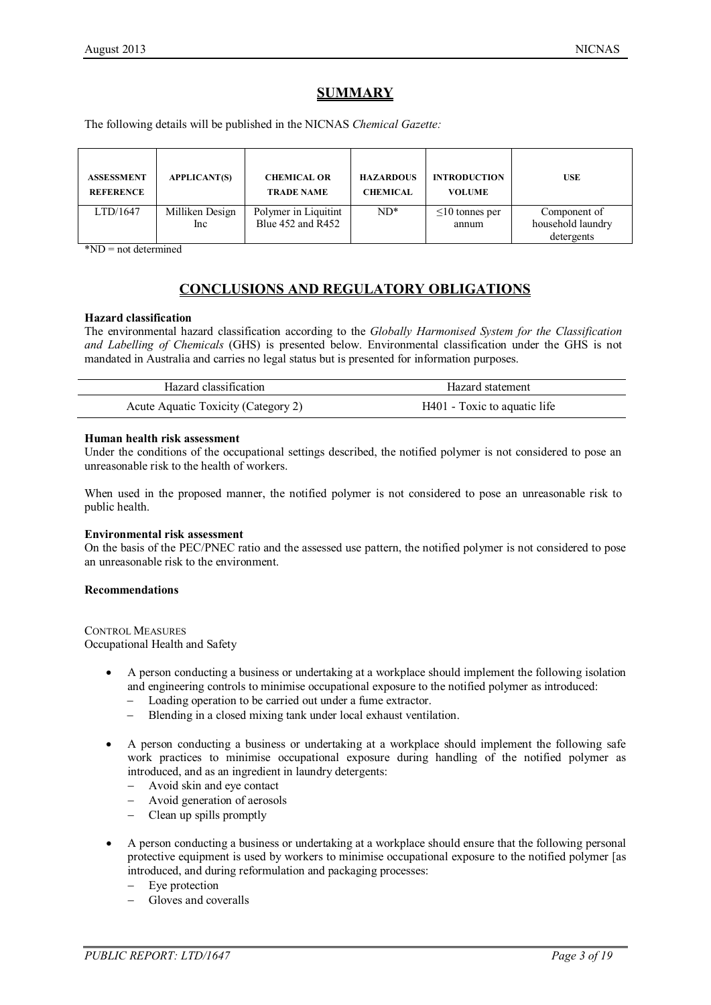# **SUMMARY**

The following details will be published in the NICNAS *Chemical Gazette:*

| <b>ASSESSMENT</b><br><b>REFERENCE</b> | <b>APPLICANT(S)</b>    | <b>CHEMICAL OR</b><br><b>TRADE NAME</b>       | <b>HAZARDOUS</b><br><b>CHEMICAL</b> | <b>INTRODUCTION</b><br><b>VOLUME</b> | <b>USE</b>                                      |
|---------------------------------------|------------------------|-----------------------------------------------|-------------------------------------|--------------------------------------|-------------------------------------------------|
| LTD/1647                              | Milliken Design<br>Inc | Polymer in Liquitint<br>Blue $452$ and $R452$ | $ND^*$                              | $\leq 10$ tonnes per<br>annum        | Component of<br>household laundry<br>detergents |

\*ND = not determined

# **CONCLUSIONS AND REGULATORY OBLIGATIONS**

### **Hazard classification**

The environmental hazard classification according to the *Globally Harmonised System for the Classification and Labelling of Chemicals* (GHS) is presented below. Environmental classification under the GHS is not mandated in Australia and carries no legal status but is presented for information purposes.

| Hazard classification               | Hazard statement             |
|-------------------------------------|------------------------------|
| Acute Aquatic Toxicity (Category 2) | H401 - Toxic to aquatic life |

#### **Human health risk assessment**

Under the conditions of the occupational settings described, the notified polymer is not considered to pose an unreasonable risk to the health of workers.

When used in the proposed manner, the notified polymer is not considered to pose an unreasonable risk to public health.

#### **Environmental risk assessment**

On the basis of the PEC/PNEC ratio and the assessed use pattern, the notified polymer is not considered to pose an unreasonable risk to the environment.

#### **Recommendations**

CONTROL MEASURES Occupational Health and Safety

- A person conducting a business or undertaking at a workplace should implement the following isolation and engineering controls to minimise occupational exposure to the notified polymer as introduced:
	- − Loading operation to be carried out under a fume extractor.
	- − Blending in a closed mixing tank under local exhaust ventilation.
- A person conducting a business or undertaking at a workplace should implement the following safe work practices to minimise occupational exposure during handling of the notified polymer as introduced, and as an ingredient in laundry detergents:
	- − Avoid skin and eye contact
	- Avoid generation of aerosols
	- − Clean up spills promptly
- A person conducting a business or undertaking at a workplace should ensure that the following personal protective equipment is used by workers to minimise occupational exposure to the notified polymer [as introduced, and during reformulation and packaging processes:
	- Eye protection
	- − Gloves and coveralls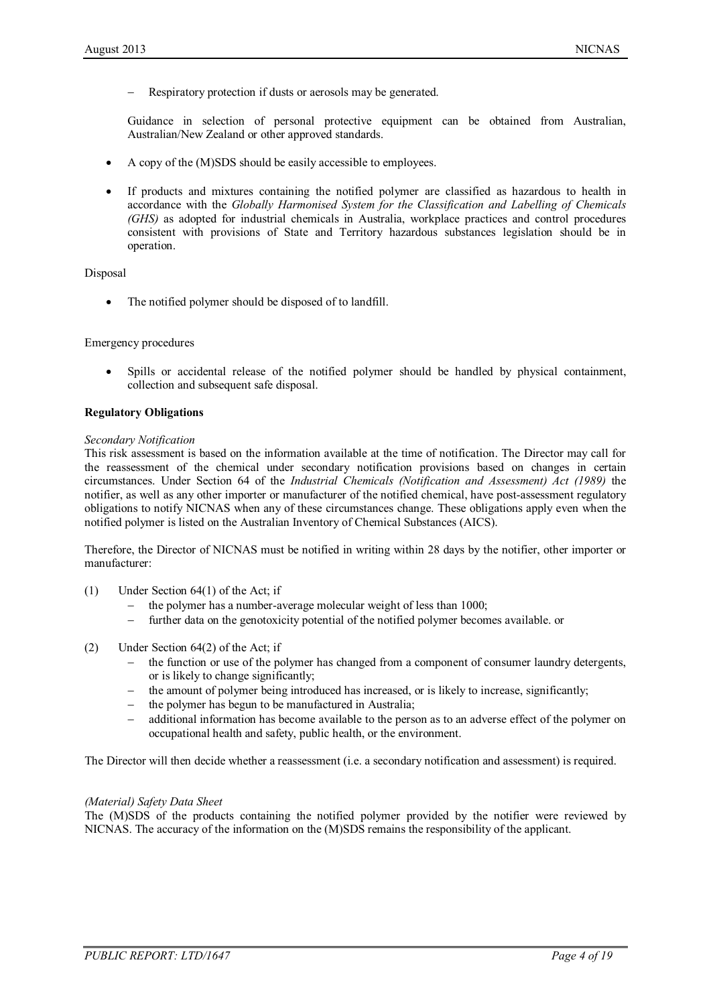Respiratory protection if dusts or aerosols may be generated.

Guidance in selection of personal protective equipment can be obtained from Australian, Australian/New Zealand or other approved standards.

- A copy of the (M)SDS should be easily accessible to employees.
- If products and mixtures containing the notified polymer are classified as hazardous to health in accordance with the *Globally Harmonised System for the Classification and Labelling of Chemicals (GHS)* as adopted for industrial chemicals in Australia, workplace practices and control procedures consistent with provisions of State and Territory hazardous substances legislation should be in operation.

#### Disposal

The notified polymer should be disposed of to landfill.

#### Emergency procedures

• Spills or accidental release of the notified polymer should be handled by physical containment, collection and subsequent safe disposal.

#### **Regulatory Obligations**

#### *Secondary Notification*

This risk assessment is based on the information available at the time of notification. The Director may call for the reassessment of the chemical under secondary notification provisions based on changes in certain circumstances. Under Section 64 of the *Industrial Chemicals (Notification and Assessment) Act (1989)* the notifier, as well as any other importer or manufacturer of the notified chemical, have post-assessment regulatory obligations to notify NICNAS when any of these circumstances change. These obligations apply even when the notified polymer is listed on the Australian Inventory of Chemical Substances (AICS).

Therefore, the Director of NICNAS must be notified in writing within 28 days by the notifier, other importer or manufacturer:

- (1) Under Section 64(1) of the Act; if
	- the polymer has a number-average molecular weight of less than 1000;
	- − further data on the genotoxicity potential of the notified polymer becomes available. or
- (2) Under Section 64(2) of the Act; if
	- the function or use of the polymer has changed from a component of consumer laundry detergents, or is likely to change significantly;
	- the amount of polymer being introduced has increased, or is likely to increase, significantly;
	- the polymer has begun to be manufactured in Australia;
	- additional information has become available to the person as to an adverse effect of the polymer on occupational health and safety, public health, or the environment.

The Director will then decide whether a reassessment (i.e. a secondary notification and assessment) is required.

#### *(Material) Safety Data Sheet*

The (M)SDS of the products containing the notified polymer provided by the notifier were reviewed by NICNAS. The accuracy of the information on the (M)SDS remains the responsibility of the applicant.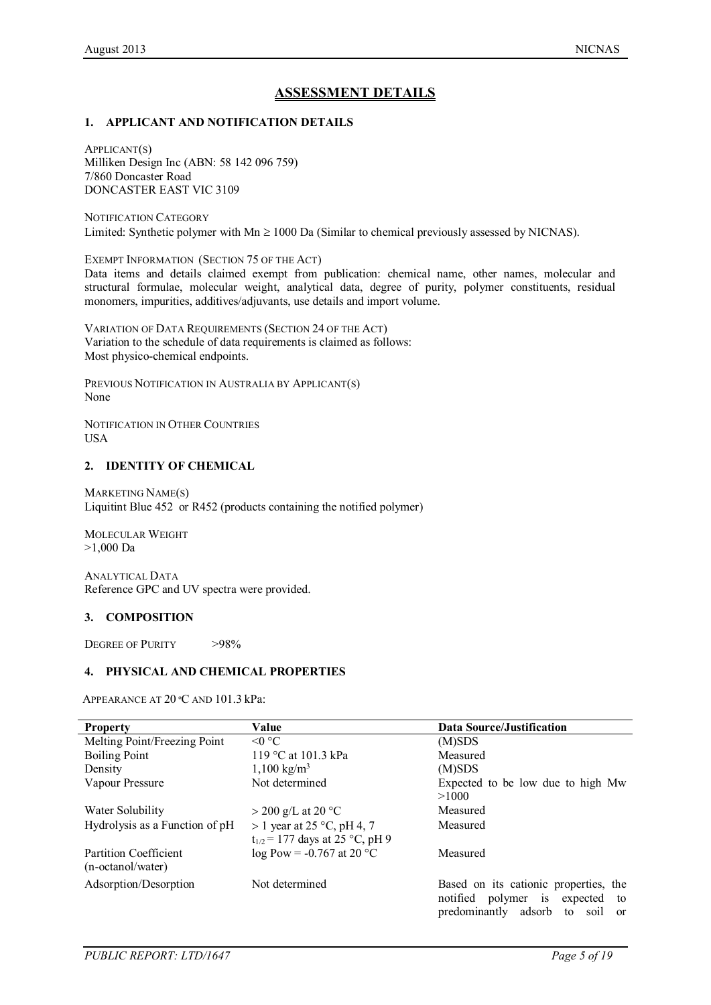# **ASSESSMENT DETAILS**

### **1. APPLICANT AND NOTIFICATION DETAILS**

APPLICANT(S) Milliken Design Inc (ABN: 58 142 096 759) 7/860 Doncaster Road DONCASTER EAST VIC 3109

NOTIFICATION CATEGORY Limited: Synthetic polymer with  $Mn \ge 1000$  Da (Similar to chemical previously assessed by NICNAS).

EXEMPT INFORMATION (SECTION 75 OF THE ACT) Data items and details claimed exempt from publication: chemical name, other names, molecular and structural formulae, molecular weight, analytical data, degree of purity, polymer constituents, residual monomers, impurities, additives/adjuvants, use details and import volume.

VARIATION OF DATA REQUIREMENTS (SECTION 24 OF THE ACT) Variation to the schedule of data requirements is claimed as follows: Most physico-chemical endpoints.

PREVIOUS NOTIFICATION IN AUSTRALIA BY APPLICANT(S) None

NOTIFICATION IN OTHER COUNTRIES USA

### **2. IDENTITY OF CHEMICAL**

MARKETING NAME(S) Liquitint Blue 452 or R452 (products containing the notified polymer)

MOLECULAR WEIGHT >1,000 Da

ANALYTICAL DATA Reference GPC and UV spectra were provided.

# **3. COMPOSITION**

DEGREE OF PURITY >98%

#### **4. PHYSICAL AND CHEMICAL PROPERTIES**

APPEARANCE AT 20 ºC AND 101.3 kPa:

| <b>Property</b>                | Value                               | Data Source/Justification                           |
|--------------------------------|-------------------------------------|-----------------------------------------------------|
| Melting Point/Freezing Point   | $\leq 0$ °C                         | (M)SDS                                              |
| <b>Boiling Point</b>           | 119 °C at 101.3 kPa                 | Measured                                            |
| Density                        | $1,100 \text{ kg/m}^3$              | (M)SDS                                              |
| Vapour Pressure                | Not determined                      | Expected to be low due to high Mw                   |
|                                |                                     | >1000                                               |
| Water Solubility               | $>$ 200 g/L at 20 °C                | Measured                                            |
| Hydrolysis as a Function of pH | $> 1$ year at 25 °C, pH 4, 7        | Measured                                            |
|                                | $t_{1/2}$ = 177 days at 25 °C, pH 9 |                                                     |
| Partition Coefficient          | $log Pow = -0.767$ at 20 °C         | Measured                                            |
| (n-octanol/water)              |                                     |                                                     |
| Adsorption/Desorption          | Not determined                      | Based on its cationic properties, the               |
|                                |                                     | notified polymer is expected<br>to                  |
|                                |                                     | predominantly adsorb<br>to<br>soil<br><sub>or</sub> |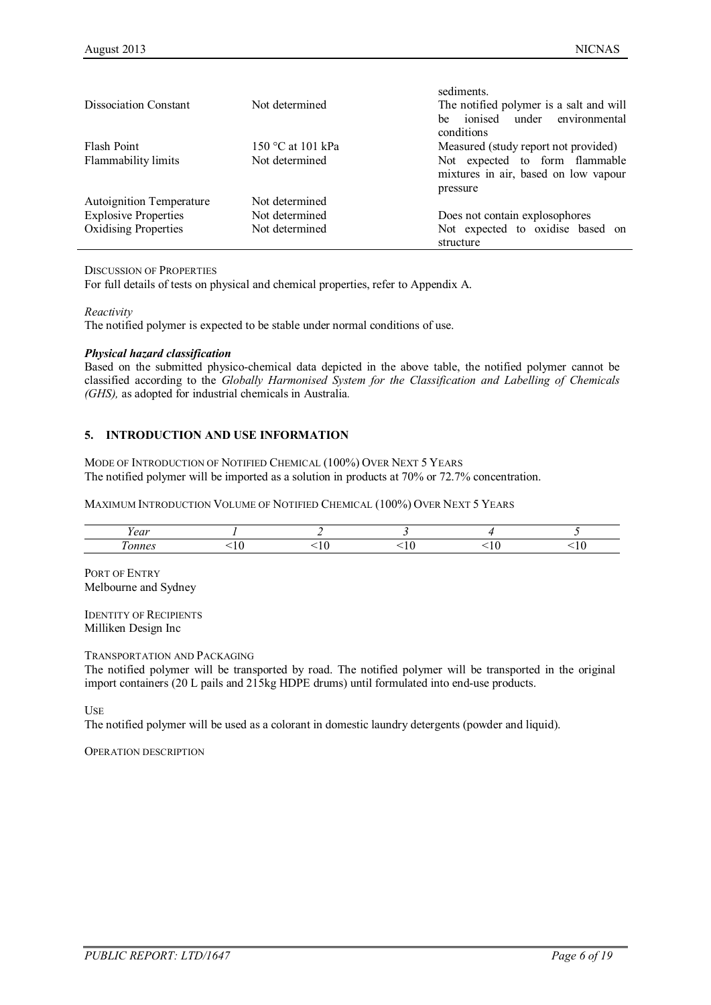|                             |                   | sediments.                                    |
|-----------------------------|-------------------|-----------------------------------------------|
| Dissociation Constant       | Not determined    | The notified polymer is a salt and will       |
|                             |                   | ionised<br>under environmental<br>he.         |
|                             |                   | conditions                                    |
| Flash Point                 | 150 °C at 101 kPa | Measured (study report not provided)          |
| Flammability limits         | Not determined    | Not expected to form flammable                |
|                             |                   | mixtures in air, based on low vapour          |
|                             |                   | pressure                                      |
| Autoignition Temperature    | Not determined    |                                               |
| <b>Explosive Properties</b> | Not determined    | Does not contain explosophores                |
| <b>Oxidising Properties</b> | Not determined    | Not expected to oxidise based on<br>structure |

DISCUSSION OF PROPERTIES

For full details of tests on physical and chemical properties, refer to Appendix A.

*Reactivity*

The notified polymer is expected to be stable under normal conditions of use.

#### *Physical hazard classification*

Based on the submitted physico-chemical data depicted in the above table, the notified polymer cannot be classified according to the *Globally Harmonised System for the Classification and Labelling of Chemicals (GHS),* as adopted for industrial chemicals in Australia*.*

### **5. INTRODUCTION AND USE INFORMATION**

MODE OF INTRODUCTION OF NOTIFIED CHEMICAL (100%) OVER NEXT 5 YEARS The notified polymer will be imported as a solution in products at 70% or 72.7% concentration.

MAXIMUM INTRODUCTION VOLUME OF NOTIFIED CHEMICAL (100%) OVER NEXT 5 YEARS

| - -<br>$\sim$ $\sim$ $\sim$ |  |  |  |
|-----------------------------|--|--|--|
| 231222                      |  |  |  |

PORT OF ENTRY Melbourne and Sydney

IDENTITY OF RECIPIENTS Milliken Design Inc

TRANSPORTATION AND PACKAGING

The notified polymer will be transported by road. The notified polymer will be transported in the original import containers (20 L pails and 215kg HDPE drums) until formulated into end-use products.

USE

The notified polymer will be used as a colorant in domestic laundry detergents (powder and liquid).

OPERATION DESCRIPTION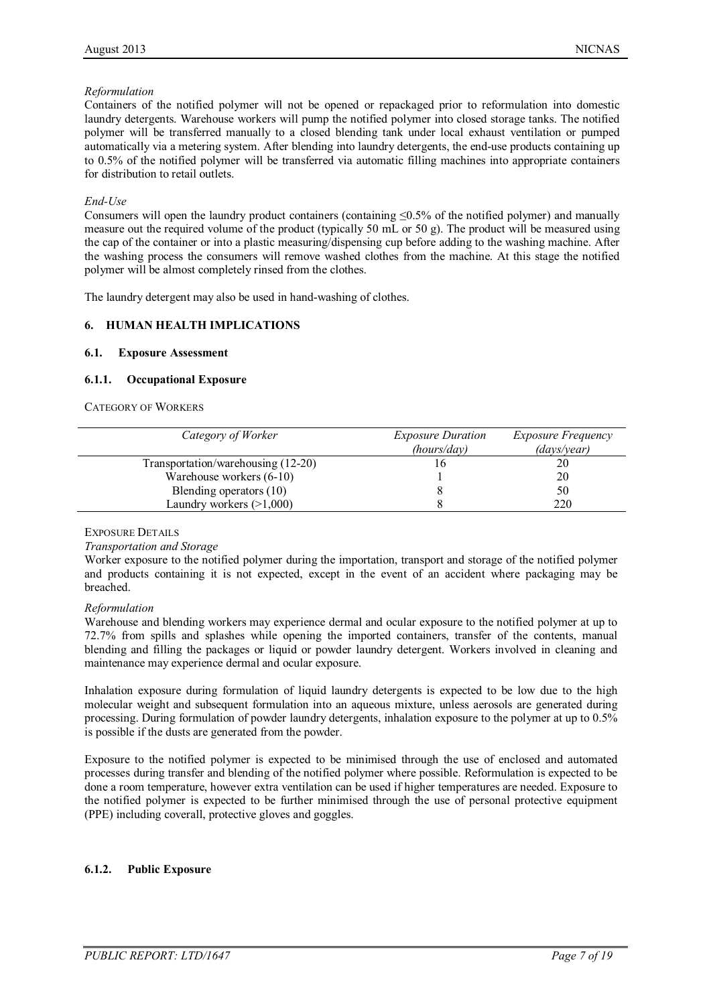### *Reformulation*

Containers of the notified polymer will not be opened or repackaged prior to reformulation into domestic laundry detergents. Warehouse workers will pump the notified polymer into closed storage tanks. The notified polymer will be transferred manually to a closed blending tank under local exhaust ventilation or pumped automatically via a metering system. After blending into laundry detergents, the end-use products containing up to 0.5% of the notified polymer will be transferred via automatic filling machines into appropriate containers for distribution to retail outlets.

#### *End-Use*

Consumers will open the laundry product containers (containing  $\leq 0.5\%$  of the notified polymer) and manually measure out the required volume of the product (typically 50 mL or 50 g). The product will be measured using the cap of the container or into a plastic measuring/dispensing cup before adding to the washing machine. After the washing process the consumers will remove washed clothes from the machine. At this stage the notified polymer will be almost completely rinsed from the clothes.

The laundry detergent may also be used in hand-washing of clothes.

# **6. HUMAN HEALTH IMPLICATIONS**

#### **6.1. Exposure Assessment**

#### **6.1.1. Occupational Exposure**

CATEGORY OF WORKERS

| Category of Worker                 | <b>Exposure Duration</b> | <i>Exposure Frequency</i> |
|------------------------------------|--------------------------|---------------------------|
|                                    | (hours/day)              | $\frac{days}{year}$       |
| Transportation/warehousing (12-20) |                          | 20                        |
| Warehouse workers $(6-10)$         |                          | 20                        |
| Blending operators (10)            |                          | 50                        |
| Laundry workers $(>1,000)$         |                          | 220                       |

#### EXPOSURE DETAILS

#### *Transportation and Storage*

Worker exposure to the notified polymer during the importation, transport and storage of the notified polymer and products containing it is not expected, except in the event of an accident where packaging may be breached.

#### *Reformulation*

Warehouse and blending workers may experience dermal and ocular exposure to the notified polymer at up to 72.7% from spills and splashes while opening the imported containers, transfer of the contents, manual blending and filling the packages or liquid or powder laundry detergent. Workers involved in cleaning and maintenance may experience dermal and ocular exposure.

Inhalation exposure during formulation of liquid laundry detergents is expected to be low due to the high molecular weight and subsequent formulation into an aqueous mixture, unless aerosols are generated during processing. During formulation of powder laundry detergents, inhalation exposure to the polymer at up to 0.5% is possible if the dusts are generated from the powder.

Exposure to the notified polymer is expected to be minimised through the use of enclosed and automated processes during transfer and blending of the notified polymer where possible. Reformulation is expected to be done a room temperature, however extra ventilation can be used if higher temperatures are needed. Exposure to the notified polymer is expected to be further minimised through the use of personal protective equipment (PPE) including coverall, protective gloves and goggles.

#### **6.1.2. Public Exposure**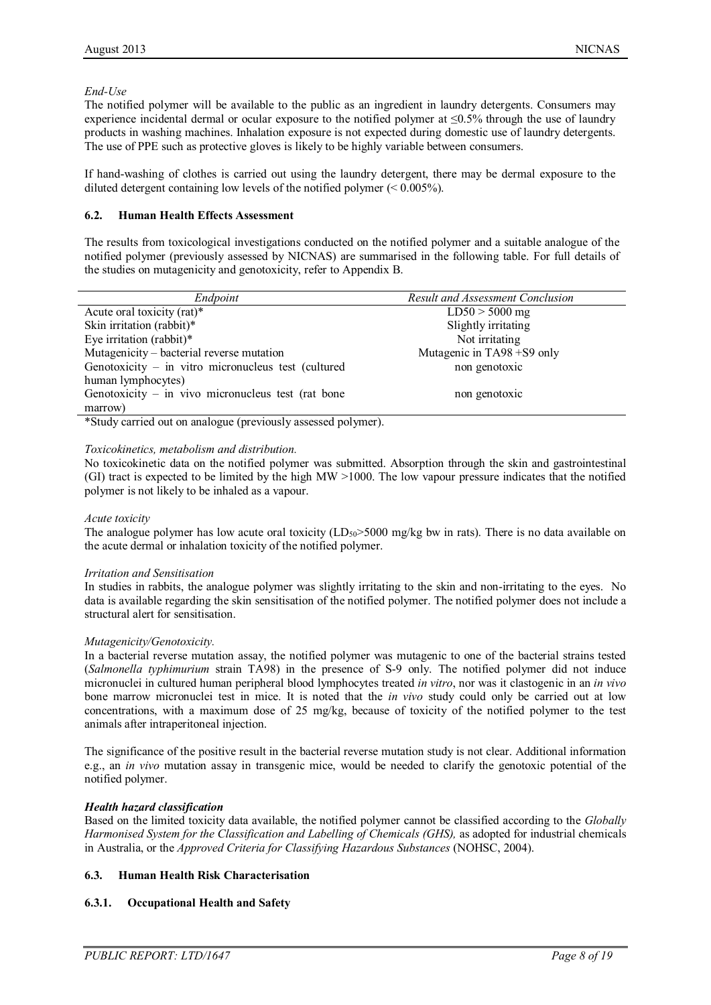#### *End-Use*

The notified polymer will be available to the public as an ingredient in laundry detergents. Consumers may experience incidental dermal or ocular exposure to the notified polymer at ≤0.5% through the use of laundry products in washing machines. Inhalation exposure is not expected during domestic use of laundry detergents. The use of PPE such as protective gloves is likely to be highly variable between consumers.

If hand-washing of clothes is carried out using the laundry detergent, there may be dermal exposure to the diluted detergent containing low levels of the notified polymer (< 0.005%).

### **6.2. Human Health Effects Assessment**

The results from toxicological investigations conducted on the notified polymer and a suitable analogue of the notified polymer (previously assessed by NICNAS) are summarised in the following table. For full details of the studies on mutagenicity and genotoxicity, refer to Appendix B.

| Endpoint                                                      | Result and Assessment Conclusion |
|---------------------------------------------------------------|----------------------------------|
| Acute oral toxicity (rat)*                                    | $LD50 > 5000$ mg                 |
| Skin irritation (rabbit)*                                     | Slightly irritating              |
| Eye irritation (rabbit)*                                      | Not irritating                   |
| Mutagenicity – bacterial reverse mutation                     | Mutagenic in TA98 +S9 only       |
| Genotoxicity – in vitro micronucleus test (cultured           | non genotoxic                    |
| human lymphocytes)                                            |                                  |
| Genotoxicity – in vivo micronucleus test (rat bone            | non genotoxic                    |
| marrow)                                                       |                                  |
| *Study carried out on analogue (previously assessed polymer). |                                  |

\*Study carried out on analogue (previously assessed polymer).

### *Toxicokinetics, metabolism and distribution.*

No toxicokinetic data on the notified polymer was submitted. Absorption through the skin and gastrointestinal (GI) tract is expected to be limited by the high MW >1000. The low vapour pressure indicates that the notified polymer is not likely to be inhaled as a vapour.

#### *Acute toxicity*

The analogue polymer has low acute oral toxicity (LD<sub>50</sub>>5000 mg/kg bw in rats). There is no data available on the acute dermal or inhalation toxicity of the notified polymer.

#### *Irritation and Sensitisation*

In studies in rabbits, the analogue polymer was slightly irritating to the skin and non-irritating to the eyes. No data is available regarding the skin sensitisation of the notified polymer. The notified polymer does not include a structural alert for sensitisation.

#### *Mutagenicity/Genotoxicity.*

In a bacterial reverse mutation assay, the notified polymer was mutagenic to one of the bacterial strains tested (*Salmonella typhimurium* strain TA98) in the presence of S-9 only. The notified polymer did not induce micronuclei in cultured human peripheral blood lymphocytes treated *in vitro*, nor was it clastogenic in an *in vivo* bone marrow micronuclei test in mice. It is noted that the *in vivo* study could only be carried out at low concentrations, with a maximum dose of 25 mg/kg, because of toxicity of the notified polymer to the test animals after intraperitoneal injection.

The significance of the positive result in the bacterial reverse mutation study is not clear. Additional information e.g., an *in vivo* mutation assay in transgenic mice, would be needed to clarify the genotoxic potential of the notified polymer.

# *Health hazard classification*

Based on the limited toxicity data available, the notified polymer cannot be classified according to the *Globally Harmonised System for the Classification and Labelling of Chemicals (GHS)*, as adopted for industrial chemicals in Australia, or the *Approved Criteria for Classifying Hazardous Substances* (NOHSC, 2004).

# **6.3. Human Health Risk Characterisation**

# **6.3.1. Occupational Health and Safety**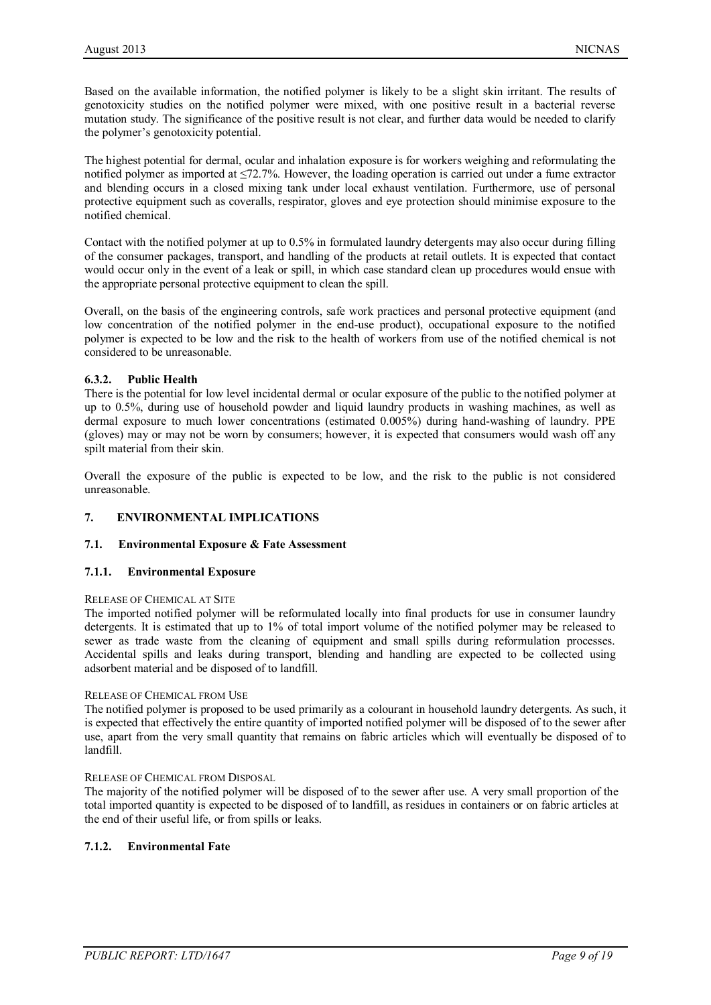Based on the available information, the notified polymer is likely to be a slight skin irritant. The results of genotoxicity studies on the notified polymer were mixed, with one positive result in a bacterial reverse mutation study. The significance of the positive result is not clear, and further data would be needed to clarify the polymer's genotoxicity potential.

The highest potential for dermal, ocular and inhalation exposure is for workers weighing and reformulating the notified polymer as imported at ≤72.7%. However, the loading operation is carried out under a fume extractor and blending occurs in a closed mixing tank under local exhaust ventilation. Furthermore, use of personal protective equipment such as coveralls, respirator, gloves and eye protection should minimise exposure to the notified chemical.

Contact with the notified polymer at up to 0.5% in formulated laundry detergents may also occur during filling of the consumer packages, transport, and handling of the products at retail outlets. It is expected that contact would occur only in the event of a leak or spill, in which case standard clean up procedures would ensue with the appropriate personal protective equipment to clean the spill.

Overall, on the basis of the engineering controls, safe work practices and personal protective equipment (and low concentration of the notified polymer in the end-use product), occupational exposure to the notified polymer is expected to be low and the risk to the health of workers from use of the notified chemical is not considered to be unreasonable.

### **6.3.2. Public Health**

There is the potential for low level incidental dermal or ocular exposure of the public to the notified polymer at up to 0.5%, during use of household powder and liquid laundry products in washing machines, as well as dermal exposure to much lower concentrations (estimated 0.005%) during hand-washing of laundry. PPE (gloves) may or may not be worn by consumers; however, it is expected that consumers would wash off any spilt material from their skin.

Overall the exposure of the public is expected to be low, and the risk to the public is not considered unreasonable.

# **7. ENVIRONMENTAL IMPLICATIONS**

#### **7.1. Environmental Exposure & Fate Assessment**

#### **7.1.1. Environmental Exposure**

#### RELEASE OF CHEMICAL AT SITE

The imported notified polymer will be reformulated locally into final products for use in consumer laundry detergents. It is estimated that up to 1% of total import volume of the notified polymer may be released to sewer as trade waste from the cleaning of equipment and small spills during reformulation processes. Accidental spills and leaks during transport, blending and handling are expected to be collected using adsorbent material and be disposed of to landfill.

#### RELEASE OF CHEMICAL FROM USE

The notified polymer is proposed to be used primarily as a colourant in household laundry detergents. As such, it is expected that effectively the entire quantity of imported notified polymer will be disposed of to the sewer after use, apart from the very small quantity that remains on fabric articles which will eventually be disposed of to landfill.

#### RELEASE OF CHEMICAL FROM DISPOSAL

The majority of the notified polymer will be disposed of to the sewer after use. A very small proportion of the total imported quantity is expected to be disposed of to landfill, as residues in containers or on fabric articles at the end of their useful life, or from spills or leaks.

#### **7.1.2. Environmental Fate**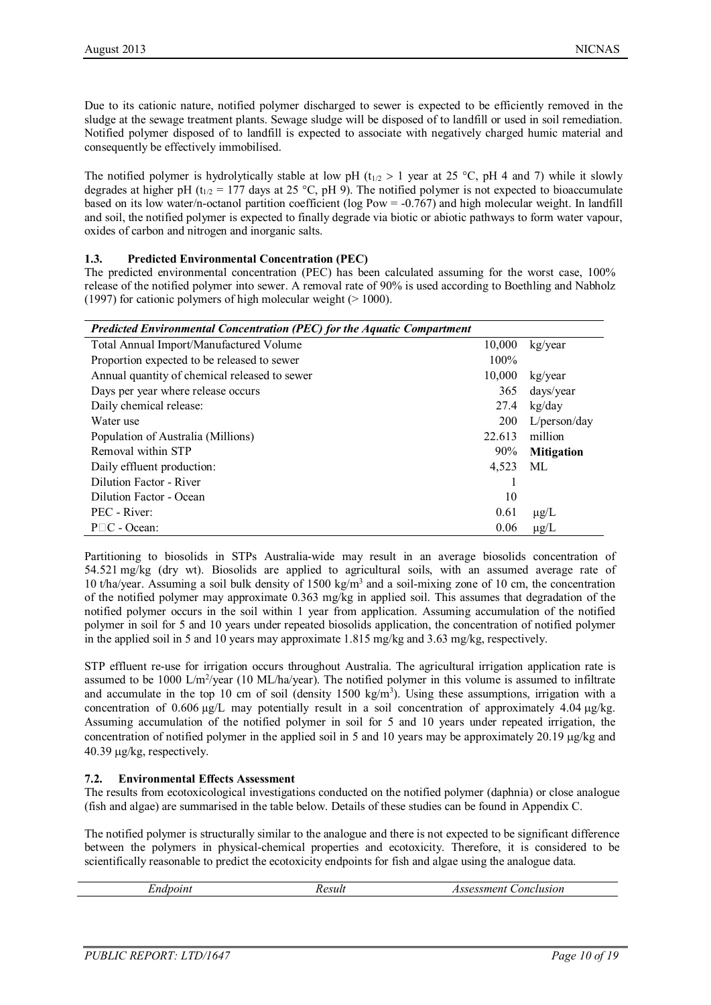Due to its cationic nature, notified polymer discharged to sewer is expected to be efficiently removed in the sludge at the sewage treatment plants. Sewage sludge will be disposed of to landfill or used in soil remediation. Notified polymer disposed of to landfill is expected to associate with negatively charged humic material and consequently be effectively immobilised.

The notified polymer is hydrolytically stable at low pH ( $t_{1/2} > 1$  year at 25 °C, pH 4 and 7) while it slowly degrades at higher pH (t<sub>1/2</sub> = 177 days at 25 °C, pH 9). The notified polymer is not expected to bioaccumulate based on its low water/n-octanol partition coefficient (log Pow = -0.767) and high molecular weight. In landfill and soil, the notified polymer is expected to finally degrade via biotic or abiotic pathways to form water vapour, oxides of carbon and nitrogen and inorganic salts.

### **1.3. Predicted Environmental Concentration (PEC)**

The predicted environmental concentration (PEC) has been calculated assuming for the worst case, 100% release of the notified polymer into sewer. A removal rate of 90% is used according to Boethling and Nabholz (1997) for cationic polymers of high molecular weight  $(>1000)$ .

| Predicted Environmental Concentration (PEC) for the Aquatic Compartment |            |                   |  |
|-------------------------------------------------------------------------|------------|-------------------|--|
| Total Annual Import/Manufactured Volume                                 | 10,000     | kg/year           |  |
| Proportion expected to be released to sewer                             | $100\%$    |                   |  |
| Annual quantity of chemical released to sewer                           | 10,000     | kg/year           |  |
| Days per year where release occurs                                      | 365        | days/year         |  |
| Daily chemical release:                                                 | 27.4       | kg/day            |  |
| Water use                                                               | <b>200</b> | L/person/day      |  |
| Population of Australia (Millions)                                      | 22.613     | million           |  |
| Removal within STP                                                      | $90\%$     | <b>Mitigation</b> |  |
| Daily effluent production:                                              | 4.523      | ML                |  |
| Dilution Factor - River                                                 |            |                   |  |
| Dilution Factor - Ocean                                                 | 10         |                   |  |
| PEC - River:                                                            | 0.61       | $\mu$ g/L         |  |
| $P \square C$ - Ocean:                                                  | 0.06       | $\mu$ g/L         |  |

Partitioning to biosolids in STPs Australia-wide may result in an average biosolids concentration of 54.521 mg/kg (dry wt). Biosolids are applied to agricultural soils, with an assumed average rate of 10 t/ha/year. Assuming a soil bulk density of 1500 kg/m<sup>3</sup> and a soil-mixing zone of 10 cm, the concentration of the notified polymer may approximate 0.363 mg/kg in applied soil. This assumes that degradation of the notified polymer occurs in the soil within 1 year from application. Assuming accumulation of the notified polymer in soil for 5 and 10 years under repeated biosolids application, the concentration of notified polymer in the applied soil in 5 and 10 years may approximate 1.815 mg/kg and 3.63 mg/kg, respectively.

STP effluent re-use for irrigation occurs throughout Australia. The agricultural irrigation application rate is assumed to be 1000 L/m<sup>2</sup>/year (10 ML/ha/year). The notified polymer in this volume is assumed to infiltrate and accumulate in the top 10 cm of soil (density  $1500 \text{ kg/m}^3$ ). Using these assumptions, irrigation with a concentration of  $0.606 \mu g/L$  may potentially result in a soil concentration of approximately  $4.04 \mu g/kg$ . Assuming accumulation of the notified polymer in soil for 5 and 10 years under repeated irrigation, the concentration of notified polymer in the applied soil in 5 and 10 years may be approximately 20.19 µg/kg and 40.39 µg/kg, respectively.

#### **7.2. Environmental Effects Assessment**

The results from ecotoxicological investigations conducted on the notified polymer (daphnia) or close analogue (fish and algae) are summarised in the table below. Details of these studies can be found in Appendix C.

The notified polymer is structurally similar to the analogue and there is not expected to be significant difference between the polymers in physical-chemical properties and ecotoxicity. Therefore, it is considered to be scientifically reasonable to predict the ecotoxicity endpoints for fish and algae using the analogue data.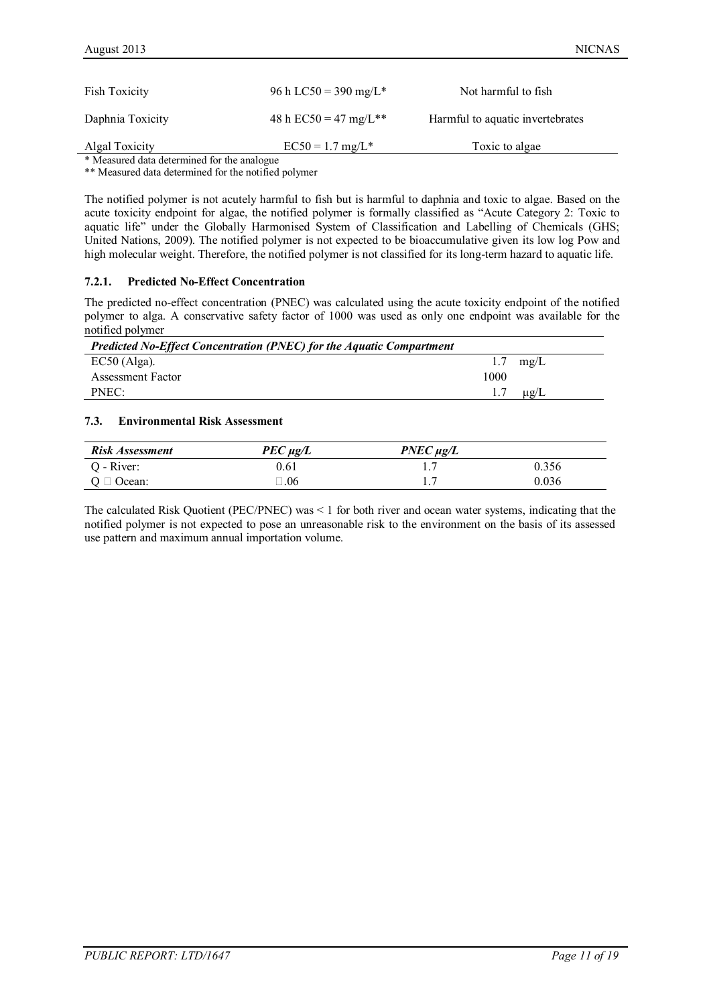| <b>Fish Toxicity</b>                        | 96 h LC50 = 390 mg/L* | Not harmful to fish              |  |
|---------------------------------------------|-----------------------|----------------------------------|--|
| Daphnia Toxicity                            | 48 h EC50 = 47 mg/L** | Harmful to aquatic invertebrates |  |
| Algal Toxicity                              | $EC50 = 1.7$ mg/L*    | Toxic to algae                   |  |
| * Measured data determined for the analogue |                       |                                  |  |

\*\* Measured data determined for the notified polymer

The notified polymer is not acutely harmful to fish but is harmful to daphnia and toxic to algae. Based on the acute toxicity endpoint for algae, the notified polymer is formally classified as "Acute Category 2: Toxic to aquatic life" under the Globally Harmonised System of Classification and Labelling of Chemicals (GHS; United Nations, 2009). The notified polymer is not expected to be bioaccumulative given its low log Pow and high molecular weight. Therefore, the notified polymer is not classified for its long-term hazard to aquatic life.

#### **7.2.1. Predicted No-Effect Concentration**

The predicted no-effect concentration (PNEC) was calculated using the acute toxicity endpoint of the notified polymer to alga. A conservative safety factor of 1000 was used as only one endpoint was available for the notified polymer

| <b>Predicted No-Effect Concentration (PNEC) for the Aquatic Compartment</b> |      |                     |
|-----------------------------------------------------------------------------|------|---------------------|
| $EC50$ (Alga).                                                              |      | $1.7 \text{ mg/L}$  |
| Assessment Factor                                                           | 1000 |                     |
| PNEC:                                                                       |      | $1.7 \quad \mu g/L$ |

#### **7.3. Environmental Risk Assessment**

| <b>Risk Assessment</b> | $PEC \mu g/L$ | $PNEC \mu g/L$ |       |
|------------------------|---------------|----------------|-------|
| Q - River:             | 0.61          |                | 0.356 |
| $Q \Box$ Ocean:        | $\Box.06$     |                | 0.036 |

The calculated Risk Quotient (PEC/PNEC) was < 1 for both river and ocean water systems, indicating that the notified polymer is not expected to pose an unreasonable risk to the environment on the basis of its assessed use pattern and maximum annual importation volume.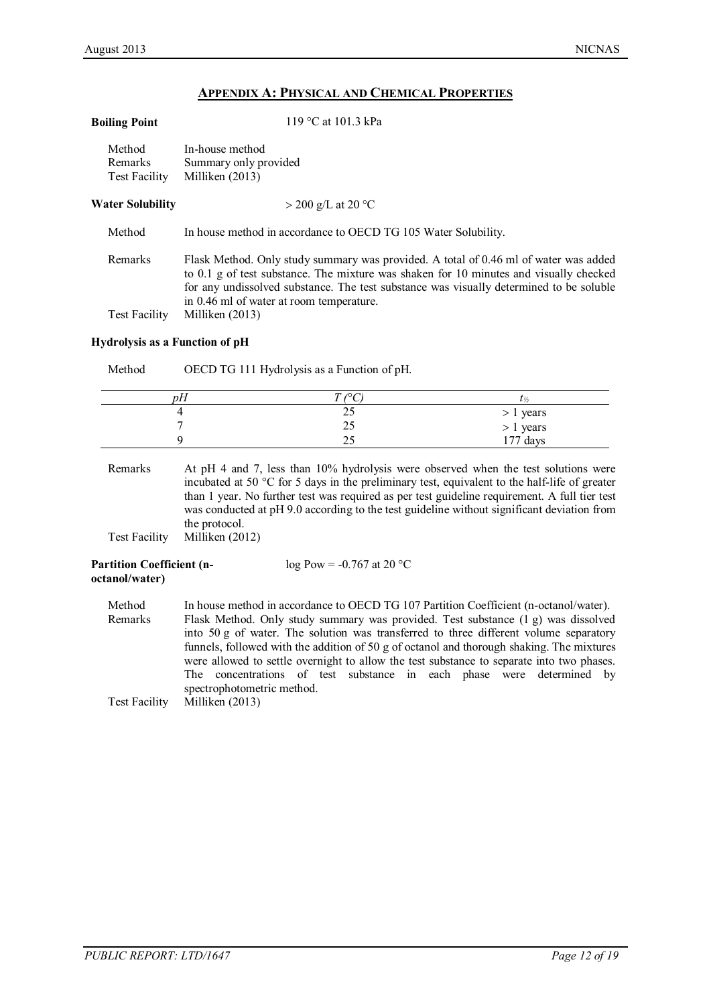# **APPENDIX A: PHYSICAL AND CHEMICAL PROPERTIES**

**Boiling Point** 119 °C at 101.3 kPa

| Method<br><b>Remarks</b><br><b>Test Facility</b> | In-house method<br>Summary only provided<br>Milliken (2013)                                                                                                                                                                                                                                                           |
|--------------------------------------------------|-----------------------------------------------------------------------------------------------------------------------------------------------------------------------------------------------------------------------------------------------------------------------------------------------------------------------|
| <b>Water Solubility</b>                          | $>$ 200 g/L at 20 °C                                                                                                                                                                                                                                                                                                  |
| Method                                           | In house method in accordance to OECD TG 105 Water Solubility.                                                                                                                                                                                                                                                        |
| Remarks                                          | Flask Method. Only study summary was provided. A total of 0.46 ml of water was added<br>to 0.1 g of test substance. The mixture was shaken for 10 minutes and visually checked<br>for any undissolved substance. The test substance was visually determined to be soluble<br>in 0.46 ml of water at room temperature. |
| <b>Test Facility</b>                             | Milliken (2013)                                                                                                                                                                                                                                                                                                       |

### **Hydrolysis as a Function of pH**

| Method | OECD TG 111 Hydrolysis as a Function of pH. |                        |  |  |
|--------|---------------------------------------------|------------------------|--|--|
| рH     | $\sqrt{2}$                                  | l. I/.                 |  |  |
|        |                                             |                        |  |  |
|        | 25                                          | > 1 years<br>> 1 years |  |  |
|        | 25                                          | $177$ days             |  |  |

Remarks At pH 4 and 7, less than 10% hydrolysis were observed when the test solutions were incubated at 50 °C for 5 days in the preliminary test, equivalent to the half-life of greater than 1 year. No further test was required as per test guideline requirement. A full tier test was conducted at pH 9.0 according to the test guideline without significant deviation from the protocol.

Test Facility Milliken (2012)

| <b>Partition Coefficient (n-</b> | $log Pow = -0.767$ at 20 °C |
|----------------------------------|-----------------------------|
| octanol/water)                   |                             |

| Method  | In house method in accordance to OECD TG 107 Partition Coefficient (n-octanol/water).     |  |  |  |
|---------|-------------------------------------------------------------------------------------------|--|--|--|
| Remarks | Flask Method. Only study summary was provided. Test substance (1 g) was dissolved         |  |  |  |
|         | into 50 g of water. The solution was transferred to three different volume separatory     |  |  |  |
|         | funnels, followed with the addition of 50 g of octanol and thorough shaking. The mixtures |  |  |  |
|         | were allowed to settle overnight to allow the test substance to separate into two phases. |  |  |  |
|         | The concentrations of test substance in each phase were determined by                     |  |  |  |
|         | spectrophotometric method.                                                                |  |  |  |
|         | Test Facility Milliken (2013)                                                             |  |  |  |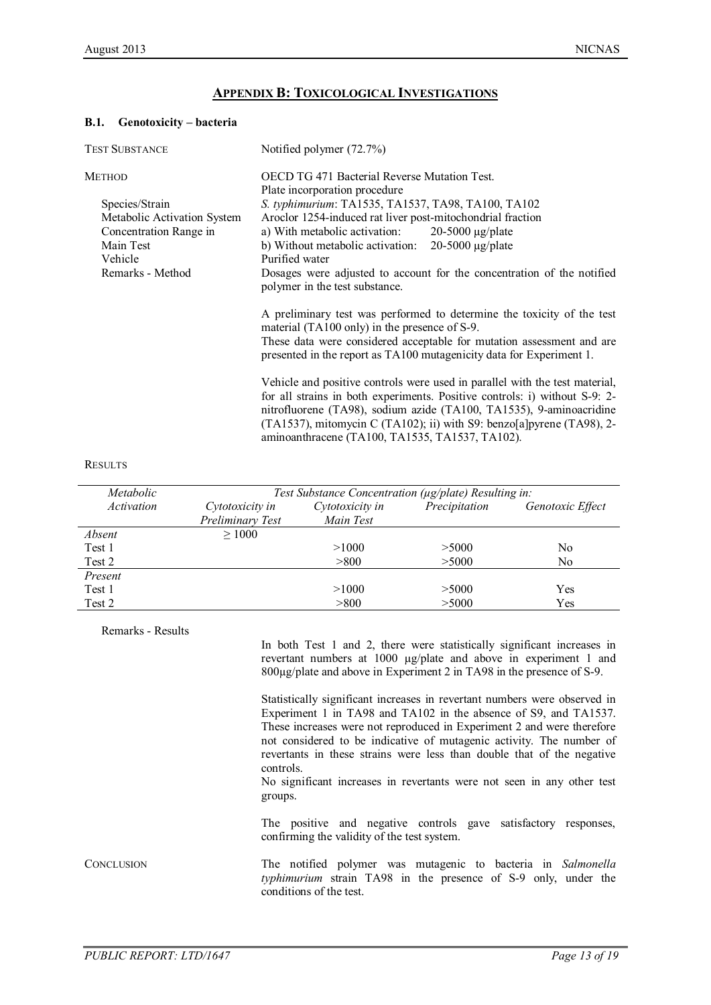# **APPENDIX B: TOXICOLOGICAL INVESTIGATIONS**

#### **B.1. Genotoxicity – bacteria**

| <b>TEST SUBSTANCE</b>                                                                                               | Notified polymer (72.7%)                                                                                                                                                                                                                                                                                                                                     |
|---------------------------------------------------------------------------------------------------------------------|--------------------------------------------------------------------------------------------------------------------------------------------------------------------------------------------------------------------------------------------------------------------------------------------------------------------------------------------------------------|
| <b>METHOD</b>                                                                                                       | <b>OECD TG 471 Bacterial Reverse Mutation Test.</b><br>Plate incorporation procedure                                                                                                                                                                                                                                                                         |
| Species/Strain<br>Metabolic Activation System<br>Concentration Range in<br>Main Test<br>Vehicle<br>Remarks - Method | S. typhimurium: TA1535, TA1537, TA98, TA100, TA102<br>Aroclor 1254-induced rat liver post-mitochondrial fraction<br>a) With metabolic activation: $20-5000 \mu g/plate$<br>b) Without metabolic activation: $20-5000 \mu g$ /plate<br>Purified water<br>Dosages were adjusted to account for the concentration of the notified                               |
|                                                                                                                     | polymer in the test substance.<br>A preliminary test was performed to determine the toxicity of the test<br>material (TA100 only) in the presence of S-9.<br>These data were considered acceptable for mutation assessment and are<br>presented in the report as TA100 mutagenicity data for Experiment 1.                                                   |
|                                                                                                                     | Vehicle and positive controls were used in parallel with the test material,<br>for all strains in both experiments. Positive controls: i) without S-9: 2-<br>nitrofluorene (TA98), sodium azide (TA100, TA1535), 9-aminoacridine<br>(TA1537), mitomycin C (TA102); ii) with S9: benzo[a]pyrene (TA98), 2-<br>aminoanthracene (TA100, TA1535, TA1537, TA102). |

#### RESULTS

| Metabolic  | Test Substance Concentration ( $\mu$ g/plate) Resulting in: |                 |               |                  |
|------------|-------------------------------------------------------------|-----------------|---------------|------------------|
| Activation | Cytotoxicity in                                             | Cytotoxicity in | Precipitation | Genotoxic Effect |
|            | Preliminary Test                                            | Main Test       |               |                  |
| Absent     | >1000                                                       |                 |               |                  |
| Test 1     |                                                             | >1000           | > 5000        | No               |
| Test 2     |                                                             | > 800           | > 5000        | No               |
| Present    |                                                             |                 |               |                  |
| Test 1     |                                                             | >1000           | > 5000        | Yes              |
| Test 2     |                                                             | > 800           | > 5000        | Yes              |

Remarks - Results

In both Test 1 and 2, there were statistically significant increases in revertant numbers at 1000 µg/plate and above in experiment 1 and 800µg/plate and above in Experiment 2 in TA98 in the presence of S-9.

Statistically significant increases in revertant numbers were observed in Experiment 1 in TA98 and TA102 in the absence of S9, and TA1537. These increases were not reproduced in Experiment 2 and were therefore not considered to be indicative of mutagenic activity. The number of revertants in these strains were less than double that of the negative controls.

No significant increases in revertants were not seen in any other test groups.

The positive and negative controls gave satisfactory responses, confirming the validity of the test system.

CONCLUSION The notified polymer was mutagenic to bacteria in *Salmonella typhimurium* strain TA98 in the presence of S-9 only, under the conditions of the test.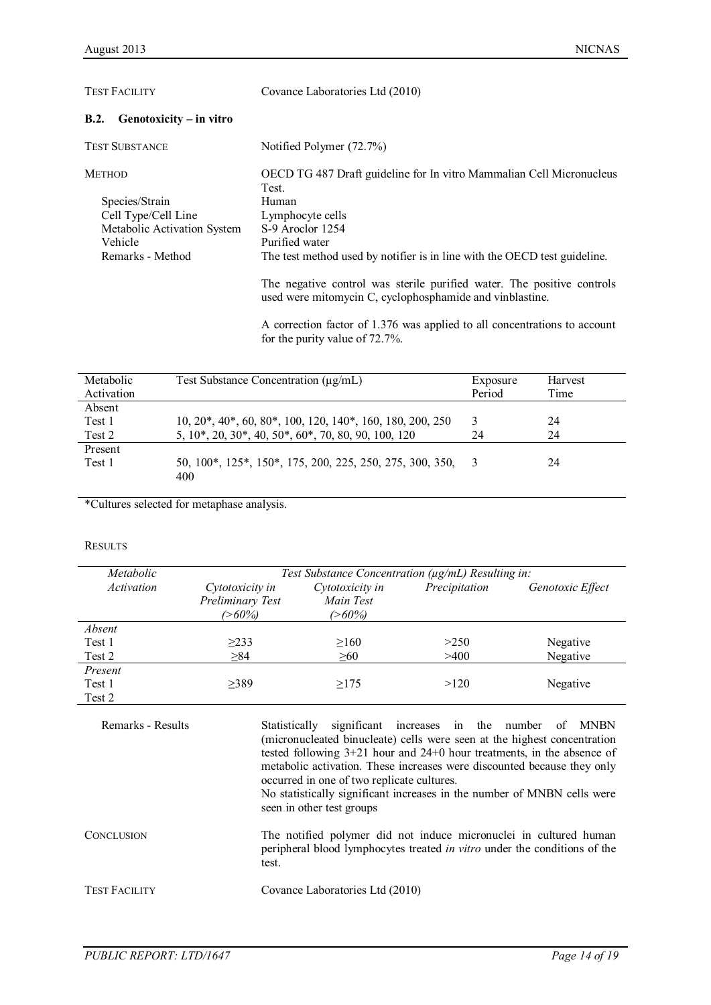| <b>TEST FACILITY</b>              | Covance Laboratories Ltd (2010)                                                                                                    |  |
|-----------------------------------|------------------------------------------------------------------------------------------------------------------------------------|--|
| B.2.<br>$Genotoxicity - in vitro$ |                                                                                                                                    |  |
| <b>TEST SUBSTANCE</b>             | Notified Polymer (72.7%)                                                                                                           |  |
| <b>METHOD</b>                     | OECD TG 487 Draft guideline for In vitro Mammalian Cell Micronucleus<br>Test.                                                      |  |
| Species/Strain                    | Human                                                                                                                              |  |
| Cell Type/Cell Line               | Lymphocyte cells                                                                                                                   |  |
| Metabolic Activation System       | S-9 Aroclor 1254                                                                                                                   |  |
| Vehicle                           | Purified water                                                                                                                     |  |
| Remarks - Method                  | The test method used by notifier is in line with the OECD test guideline.                                                          |  |
|                                   | The negative control was sterile purified water. The positive controls<br>used were mitomycin C, cyclophosphamide and vinblastine. |  |

A correction factor of 1.376 was applied to all concentrations to account for the purity value of 72.7%.

| Metabolic<br>Activation | Test Substance Concentration $(\mu g/mL)$                       | Exposure<br>Period | Harvest<br>Time |
|-------------------------|-----------------------------------------------------------------|--------------------|-----------------|
| Absent                  |                                                                 |                    |                 |
| Test 1                  | $10, 20^*, 40^*, 60, 80^*, 100, 120, 140^*, 160, 180, 200, 250$ | 3                  | 24              |
| Test 2                  | 5, 10*, 20, 30*, 40, 50*, 60*, 70, 80, 90, 100, 120             | 24                 | 24              |
| Present                 |                                                                 |                    |                 |
| Test 1                  | 50, 100*, 125*, 150*, 175, 200, 225, 250, 275, 300, 350,<br>400 |                    | 24              |

\*Cultures selected for metaphase analysis.

#### **RESULTS**

| Metabolic         | Test Substance Concentration ( $\mu$ g/mL) Resulting in: |                                        |               |                  |
|-------------------|----------------------------------------------------------|----------------------------------------|---------------|------------------|
| <i>Activation</i> | Cytotoxicity in<br>Preliminary Test<br>(>60%)            | Cytotoxicity in<br>Main Test<br>(>60%) | Precipitation | Genotoxic Effect |
| Absent            |                                                          |                                        |               |                  |
| Test 1            | $\geq$ 233                                               | $\geq 160$                             | >250          | Negative         |
| Test 2            | $\geq 84$                                                | $\geq 60$                              | >400          | Negative         |
| Present           |                                                          |                                        |               |                  |
| Test 1            | >389                                                     | >175                                   | >120          | Negative         |
| Test 2            |                                                          |                                        |               |                  |

Remarks - Results Statistically significant increases in the number of MNBN (micronucleated binucleate) cells were seen at the highest concentration tested following 3+21 hour and 24+0 hour treatments, in the absence of metabolic activation. These increases were discounted because they only occurred in one of two replicate cultures.

No statistically significant increases in the number of MNBN cells were seen in other test groups

CONCLUSION The notified polymer did not induce micronuclei in cultured human peripheral blood lymphocytes treated *in vitro* under the conditions of the test.

TEST FACILITY Covance Laboratories Ltd (2010)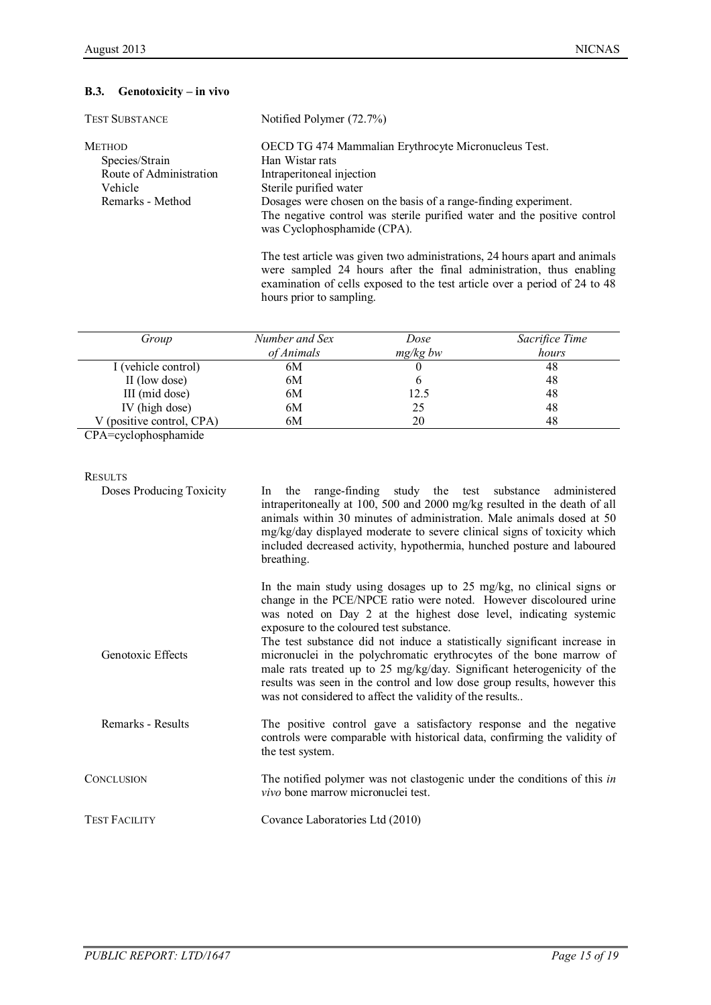# **B.3. Genotoxicity – in vivo**

| <b>TEST SUBSTANCE</b>   | Notified Polymer (72.7%)                                                                                |
|-------------------------|---------------------------------------------------------------------------------------------------------|
| <b>METHOD</b>           | OECD TG 474 Mammalian Erythrocyte Micronucleus Test.                                                    |
| Species/Strain          | Han Wistar rats                                                                                         |
| Route of Administration | Intraperitoneal injection                                                                               |
| Vehicle                 | Sterile purified water                                                                                  |
| Remarks - Method        | Dosages were chosen on the basis of a range-finding experiment.                                         |
|                         | The negative control was sterile purified water and the positive control<br>was Cyclophosphamide (CPA). |
|                         |                                                                                                         |

The test article was given two administrations, 24 hours apart and animals were sampled 24 hours after the final administration, thus enabling examination of cells exposed to the test article over a period of 24 to 48 hours prior to sampling.

| Group                     | Number and Sex | Dose       | Sacrifice Time |
|---------------------------|----------------|------------|----------------|
|                           | of Animals     | $mg/kg$ bw | hours          |
| I (vehicle control)       | 6M             |            | 48             |
| II (low dose)             | 6M             |            | 48             |
| III (mid dose)            | 6M             | 12.5       | 48             |
| IV (high dose)            | 6M             | 25         | 48             |
| V (positive control, CPA) | 6M             | 20         | 48             |

CPA=cyclophosphamide

| <b>RESULTS</b>           |                                                                                                                                                                                                                                                                                                                                                                                                                                                                                                                                                                                                                                    |
|--------------------------|------------------------------------------------------------------------------------------------------------------------------------------------------------------------------------------------------------------------------------------------------------------------------------------------------------------------------------------------------------------------------------------------------------------------------------------------------------------------------------------------------------------------------------------------------------------------------------------------------------------------------------|
| Doses Producing Toxicity | range-finding study the test substance<br>administered<br>In the<br>intraperitoneally at 100, 500 and 2000 mg/kg resulted in the death of all<br>animals within 30 minutes of administration. Male animals dosed at 50<br>mg/kg/day displayed moderate to severe clinical signs of toxicity which<br>included decreased activity, hypothermia, hunched posture and laboured<br>breathing.                                                                                                                                                                                                                                          |
| Genotoxic Effects        | In the main study using dosages up to 25 mg/kg, no clinical signs or<br>change in the PCE/NPCE ratio were noted. However discoloured urine<br>was noted on Day 2 at the highest dose level, indicating systemic<br>exposure to the coloured test substance.<br>The test substance did not induce a statistically significant increase in<br>micronuclei in the polychromatic erythrocytes of the bone marrow of<br>male rats treated up to 25 mg/kg/day. Significant heterogenicity of the<br>results was seen in the control and low dose group results, however this<br>was not considered to affect the validity of the results |
| Remarks - Results        | The positive control gave a satisfactory response and the negative<br>controls were comparable with historical data, confirming the validity of<br>the test system.                                                                                                                                                                                                                                                                                                                                                                                                                                                                |
| <b>CONCLUSION</b>        | The notified polymer was not clastogenic under the conditions of this in<br>vivo bone marrow micronuclei test.                                                                                                                                                                                                                                                                                                                                                                                                                                                                                                                     |
| <b>TEST FACILITY</b>     | Covance Laboratories Ltd (2010)                                                                                                                                                                                                                                                                                                                                                                                                                                                                                                                                                                                                    |
|                          |                                                                                                                                                                                                                                                                                                                                                                                                                                                                                                                                                                                                                                    |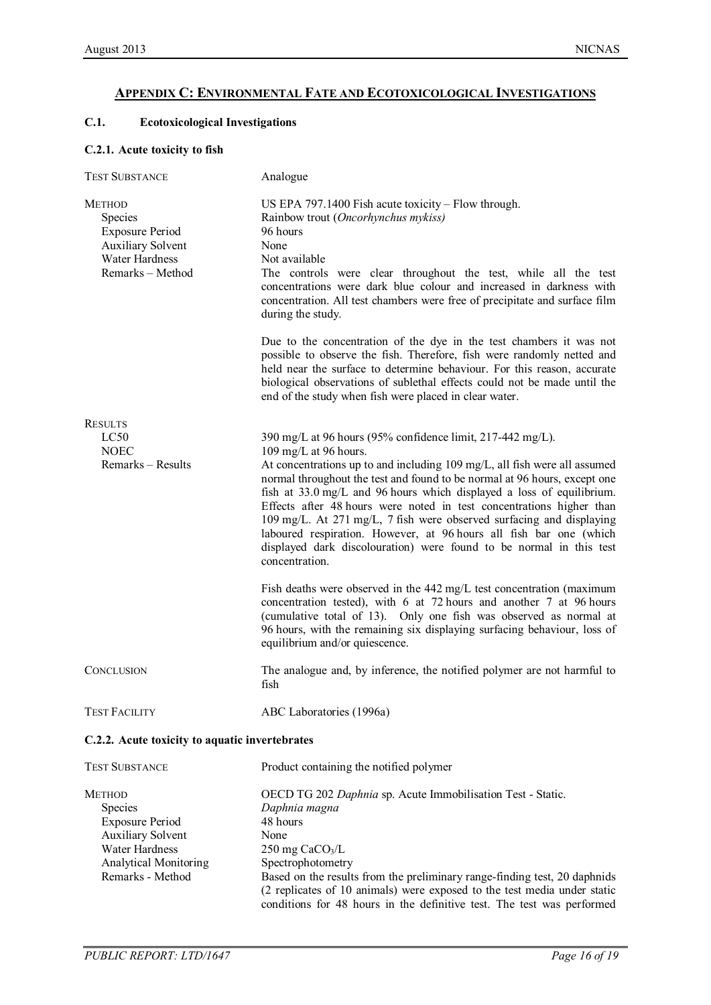# **APPENDIX C: ENVIRONMENTAL FATE AND ECOTOXICOLOGICAL INVESTIGATIONS**

# **C.1. Ecotoxicological Investigations**

### **C.2.1. Acute toxicity to fish**

| <b>TEST SUBSTANCE</b>                                                                                                       | Analogue                                                                                                                                                                                                                                                                                                                                                                                                                                                                                                                                                                                                                              |
|-----------------------------------------------------------------------------------------------------------------------------|---------------------------------------------------------------------------------------------------------------------------------------------------------------------------------------------------------------------------------------------------------------------------------------------------------------------------------------------------------------------------------------------------------------------------------------------------------------------------------------------------------------------------------------------------------------------------------------------------------------------------------------|
| <b>METHOD</b><br><b>Species</b><br><b>Exposure Period</b><br><b>Auxiliary Solvent</b><br>Water Hardness<br>Remarks - Method | US EPA $797.1400$ Fish acute toxicity – Flow through.<br>Rainbow trout (Oncorhynchus mykiss)<br>96 hours<br>None<br>Not available<br>The controls were clear throughout the test, while all the test<br>concentrations were dark blue colour and increased in darkness with<br>concentration. All test chambers were free of precipitate and surface film<br>during the study.                                                                                                                                                                                                                                                        |
|                                                                                                                             | Due to the concentration of the dye in the test chambers it was not<br>possible to observe the fish. Therefore, fish were randomly netted and<br>held near the surface to determine behaviour. For this reason, accurate<br>biological observations of sublethal effects could not be made until the<br>end of the study when fish were placed in clear water.                                                                                                                                                                                                                                                                        |
| <b>RESULTS</b>                                                                                                              |                                                                                                                                                                                                                                                                                                                                                                                                                                                                                                                                                                                                                                       |
| LC50<br><b>NOEC</b><br>Remarks - Results                                                                                    | 390 mg/L at 96 hours (95% confidence limit, 217-442 mg/L).<br>109 mg/L at 96 hours.<br>At concentrations up to and including 109 mg/L, all fish were all assumed<br>normal throughout the test and found to be normal at 96 hours, except one<br>fish at 33.0 mg/L and 96 hours which displayed a loss of equilibrium.<br>Effects after 48 hours were noted in test concentrations higher than<br>109 mg/L. At 271 mg/L, 7 fish were observed surfacing and displaying<br>laboured respiration. However, at 96 hours all fish bar one (which<br>displayed dark discolouration) were found to be normal in this test<br>concentration. |
|                                                                                                                             | Fish deaths were observed in the 442 mg/L test concentration (maximum<br>concentration tested), with 6 at 72 hours and another 7 at 96 hours<br>(cumulative total of 13). Only one fish was observed as normal at<br>96 hours, with the remaining six displaying surfacing behaviour, loss of<br>equilibrium and/or quiescence.                                                                                                                                                                                                                                                                                                       |
| CONCLUSION                                                                                                                  | The analogue and, by inference, the notified polymer are not harmful to<br>fish                                                                                                                                                                                                                                                                                                                                                                                                                                                                                                                                                       |
| <b>TEST FACILITY</b>                                                                                                        | ABC Laboratories (1996a)                                                                                                                                                                                                                                                                                                                                                                                                                                                                                                                                                                                                              |

# **C.2.2. Acute toxicity to aquatic invertebrates**

| <b>TEST SUBSTANCE</b>    | Product containing the notified polymer                                   |
|--------------------------|---------------------------------------------------------------------------|
| <b>METHOD</b>            | OECD TG 202 Daphnia sp. Acute Immobilisation Test - Static.               |
| <b>Species</b>           | Daphnia magna                                                             |
| <b>Exposure Period</b>   | 48 hours                                                                  |
| <b>Auxiliary Solvent</b> | None                                                                      |
| Water Hardness           | $250 \text{ mg } \text{CaCO}_3/\text{L}$                                  |
| Analytical Monitoring    | Spectrophotometry                                                         |
| Remarks - Method         | Based on the results from the preliminary range-finding test, 20 daphnids |
|                          | (2 replicates of 10 animals) were exposed to the test media under static  |
|                          | conditions for 48 hours in the definitive test. The test was performed    |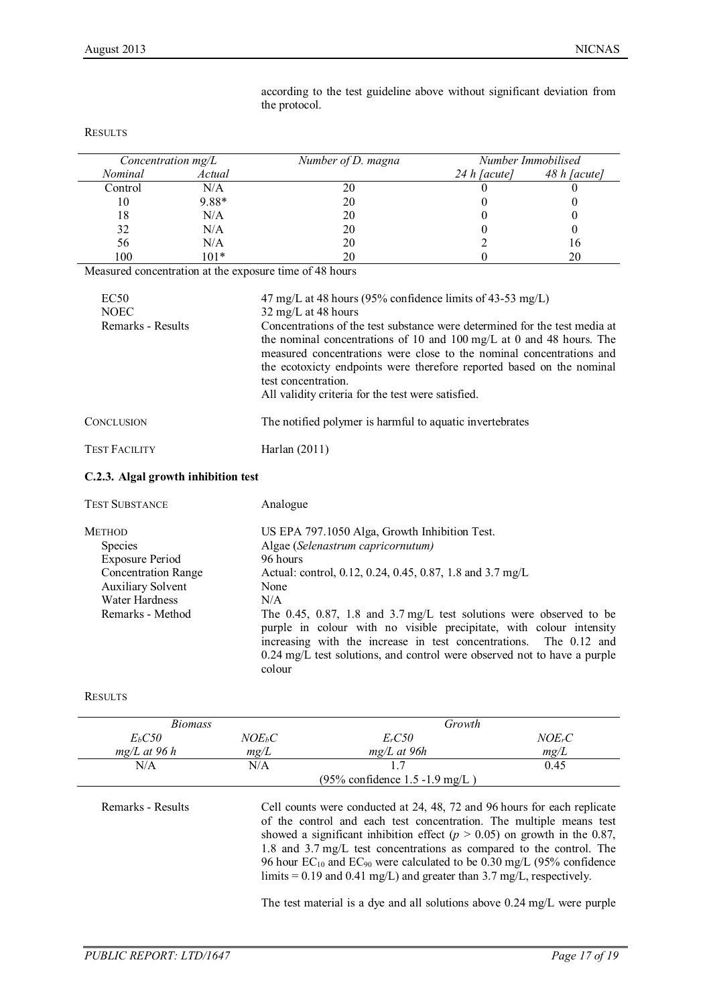| Concentration $mg/L$ |         | Number of D. magna |                | Number Immobilised |
|----------------------|---------|--------------------|----------------|--------------------|
| Nominal              | Actual  |                    | $24 h$ [acute] | 48 h [acute]       |
| Control              | N/A     | 20                 |                |                    |
| 10                   | $9.88*$ | 20                 |                |                    |
| 18                   | N/A     | 20                 |                |                    |
| 32                   | N/A     | 20                 |                |                    |
| 56                   | N/A     | 20                 |                | 16                 |
| 100                  | $101*$  | 20                 |                | 20                 |

according to the test guideline above without significant deviation from the protocol.

#### Ri

Measured concentration at the exposure time of 48 hours

| EC50<br><b>NOEC</b><br>Remarks - Results | 47 mg/L at 48 hours (95% confidence limits of 43-53 mg/L)<br>$32 \text{ mg/L}$ at 48 hours<br>Concentrations of the test substance were determined for the test media at<br>the nominal concentrations of 10 and 100 mg/L at 0 and 48 hours. The<br>measured concentrations were close to the nominal concentrations and<br>the ecotoxicty endpoints were therefore reported based on the nominal<br>test concentration.<br>All validity criteria for the test were satisfied. |
|------------------------------------------|--------------------------------------------------------------------------------------------------------------------------------------------------------------------------------------------------------------------------------------------------------------------------------------------------------------------------------------------------------------------------------------------------------------------------------------------------------------------------------|
| CONCLUSION                               | The notified polymer is harmful to aquatic invertebrates                                                                                                                                                                                                                                                                                                                                                                                                                       |
| Test Facility                            | Harlan $(2011)$                                                                                                                                                                                                                                                                                                                                                                                                                                                                |
| C.2.3. Algal growth inhibition test      |                                                                                                                                                                                                                                                                                                                                                                                                                                                                                |
| <b>TEST SUBSTANCE</b>                    | Analogue                                                                                                                                                                                                                                                                                                                                                                                                                                                                       |
| Method                                   | US EPA 797.1050 Alga, Growth Inhibition Test.                                                                                                                                                                                                                                                                                                                                                                                                                                  |
| <b>Species</b>                           | Algae (Selenastrum capricornutum)                                                                                                                                                                                                                                                                                                                                                                                                                                              |
| Exposure Period                          | 96 hours                                                                                                                                                                                                                                                                                                                                                                                                                                                                       |
| <b>Concentration Range</b>               | Actual: control, 0.12, 0.24, 0.45, 0.87, 1.8 and 3.7 mg/L                                                                                                                                                                                                                                                                                                                                                                                                                      |

Auxiliary Solvent None

Water Hardness N/A

Remarks - Method The 0.45, 0.87, 1.8 and 3.7 mg/L test solutions were observed to be purple in colour with no visible precipitate, with colour intensity increasing with the increase in test concentrations. The 0.12 and 0.24 mg/L test solutions, and control were observed not to have a purple colour

RESULTS

| <i>Biomass</i>     |          | Growth                            |                    |
|--------------------|----------|-----------------------------------|--------------------|
| E <sub>b</sub> C50 | $NOE_bC$ | $E_rC50$                          | NOE <sub>r</sub> C |
| $mg/L$ at 96 h     | mg/L     | $mg/L$ at 96h                     | mg/L               |
| $\rm N/A$          | N/A      |                                   | 0.45               |
|                    |          | $(95\%$ confidence 1.5 -1.9 mg/L) |                    |

Remarks - Results Cell counts were conducted at 24, 48, 72 and 96 hours for each replicate of the control and each test concentration. The multiple means test showed a significant inhibition effect  $(p > 0.05)$  on growth in the 0.87, 1.8 and 3.7 mg/L test concentrations as compared to the control. The 96 hour  $EC_{10}$  and  $EC_{90}$  were calculated to be 0.30 mg/L (95% confidence limits = 0.19 and 0.41 mg/L) and greater than 3.7 mg/L, respectively.

The test material is a dye and all solutions above 0.24 mg/L were purple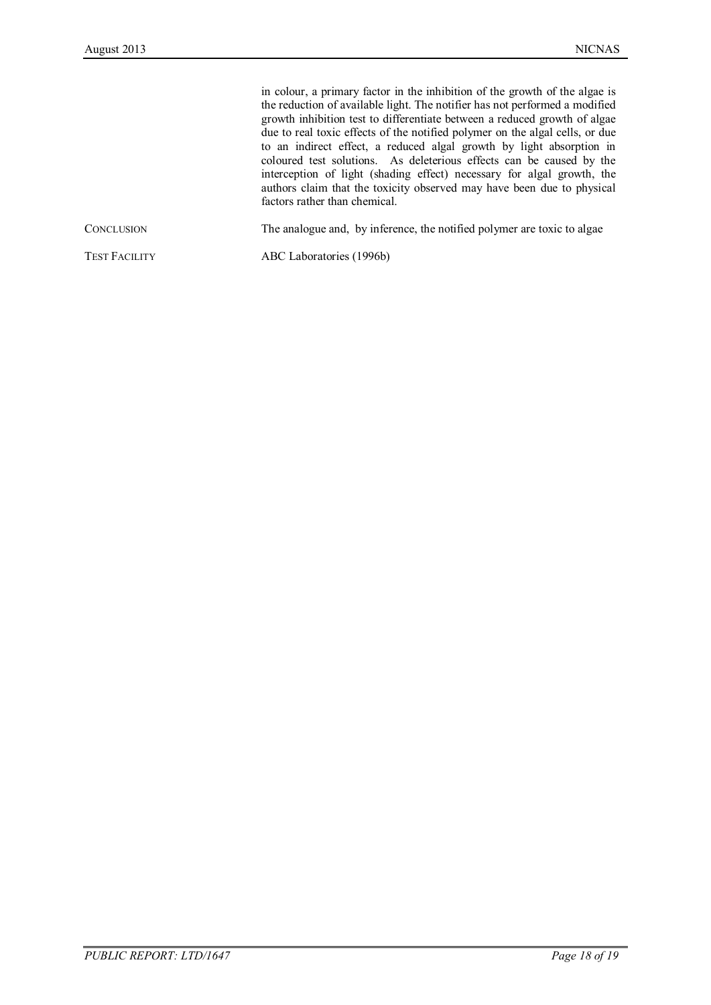|                      | in colour, a primary factor in the inhibition of the growth of the algae is<br>the reduction of available light. The notifier has not performed a modified<br>growth inhibition test to differentiate between a reduced growth of algae<br>due to real toxic effects of the notified polymer on the algal cells, or due<br>to an indirect effect, a reduced algal growth by light absorption in<br>coloured test solutions. As deleterious effects can be caused by the<br>interception of light (shading effect) necessary for algal growth, the<br>authors claim that the toxicity observed may have been due to physical<br>factors rather than chemical. |
|----------------------|--------------------------------------------------------------------------------------------------------------------------------------------------------------------------------------------------------------------------------------------------------------------------------------------------------------------------------------------------------------------------------------------------------------------------------------------------------------------------------------------------------------------------------------------------------------------------------------------------------------------------------------------------------------|
| CONCLUSION           | The analogue and, by inference, the notified polymer are toxic to algae                                                                                                                                                                                                                                                                                                                                                                                                                                                                                                                                                                                      |
| <b>TEST FACILITY</b> | ABC Laboratories (1996b)                                                                                                                                                                                                                                                                                                                                                                                                                                                                                                                                                                                                                                     |